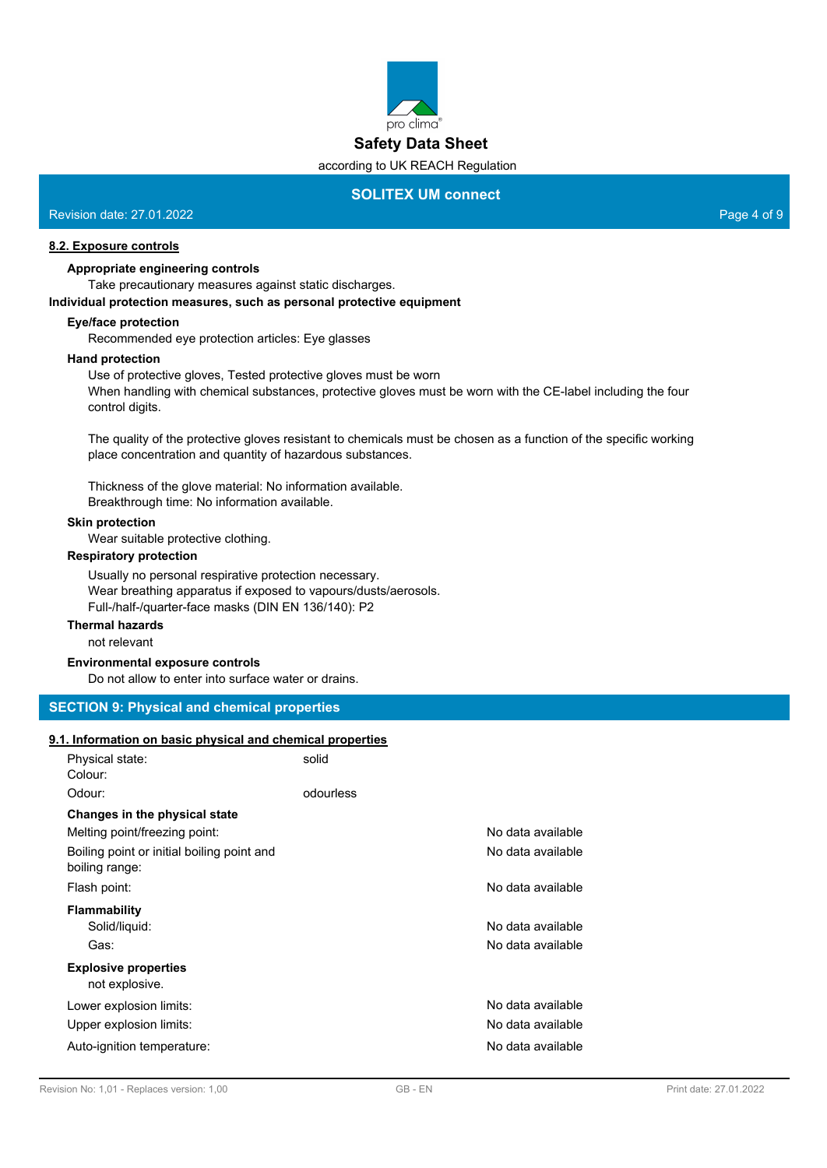

#### according to UK REACH Regulation

# **SOLITEX UM connect**

## Revision date: 27.01.2022 Page 4 of 9

**8.2. Exposure controls**

#### **Appropriate engineering controls**

Take precautionary measures against static discharges.

#### **Individual protection measures, such as personal protective equipment**

### **Eye/face protection**

Recommended eye protection articles: Eye glasses

### **Hand protection**

Use of protective gloves, Tested protective gloves must be worn When handling with chemical substances, protective gloves must be worn with the CE-label including the four control digits.

The quality of the protective gloves resistant to chemicals must be chosen as a function of the specific working place concentration and quantity of hazardous substances.

Thickness of the glove material: No information available. Breakthrough time: No information available.

#### **Skin protection**

Wear suitable protective clothing.

#### **Respiratory protection**

Usually no personal respirative protection necessary. Wear breathing apparatus if exposed to vapours/dusts/aerosols. Full-/half-/quarter-face masks (DIN EN 136/140): P2

# **Thermal hazards**

not relevant

#### **Environmental exposure controls**

Do not allow to enter into surface water or drains.

## **SECTION 9: Physical and chemical properties**

#### **9.1. Information on basic physical and chemical properties**

| Physical state:<br>Colour:                                   | solid<br>anthracite |                                        |
|--------------------------------------------------------------|---------------------|----------------------------------------|
| Odour:                                                       | odourless           |                                        |
| Changes in the physical state                                |                     |                                        |
| Melting point/freezing point:                                |                     | No data available                      |
| Boiling point or initial boiling point and<br>boiling range: |                     | No data available                      |
| Flash point:                                                 |                     | No data available                      |
| <b>Flammability</b><br>Solid/liquid:<br>Gas:                 |                     | No data available<br>No data available |
| <b>Explosive properties</b><br>not explosive.                |                     |                                        |
| Lower explosion limits:                                      |                     | No data available                      |
| Upper explosion limits:                                      |                     | No data available                      |
| Auto-ignition temperature:                                   |                     | No data available                      |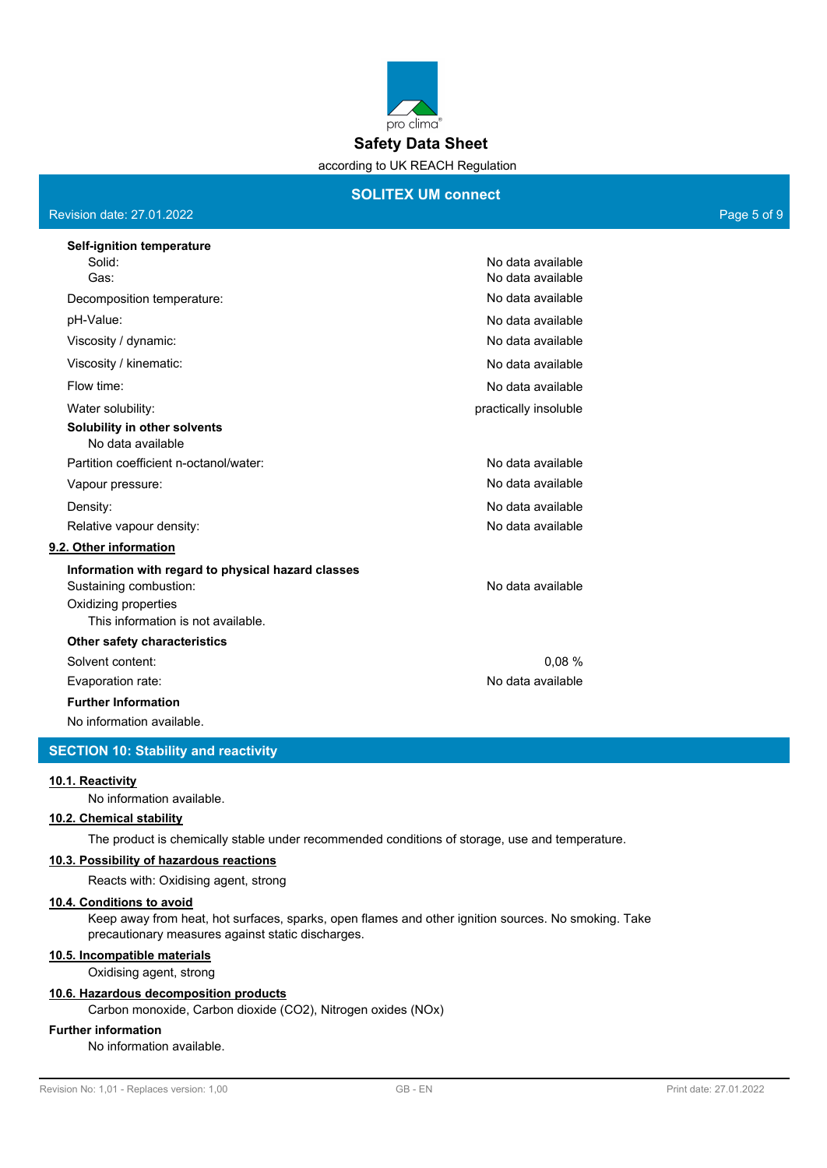

## **SOLITEX UM connect**

## Revision date: 27.01.2022 Page 5 of 9

| <b>Self-ignition temperature</b>                   |                       |
|----------------------------------------------------|-----------------------|
| Solid:                                             | No data available     |
| Gas:                                               | No data available     |
| Decomposition temperature:                         | No data available     |
| pH-Value:                                          | No data available     |
| Viscosity / dynamic:                               | No data available     |
| Viscosity / kinematic:                             | No data available     |
| Flow time:                                         | No data available     |
| Water solubility:                                  | practically insoluble |
| Solubility in other solvents<br>No data available  |                       |
| Partition coefficient n-octanol/water:             | No data available     |
| Vapour pressure:                                   | No data available     |
| Density:                                           | No data available     |
| Relative vapour density:                           | No data available     |
| 9.2. Other information                             |                       |
| Information with regard to physical hazard classes |                       |
| Sustaining combustion:                             | No data available     |
| Oxidizing properties                               |                       |
| This information is not available.                 |                       |
| <b>Other safety characteristics</b>                |                       |
| Solvent content:                                   | 0.08%                 |
| Evaporation rate:                                  | No data available     |
| <b>Further Information</b>                         |                       |
| No information available.                          |                       |

# **SECTION 10: Stability and reactivity**

#### **10.1. Reactivity**

No information available.

### **10.2. Chemical stability**

The product is chemically stable under recommended conditions of storage, use and temperature.

### **10.3. Possibility of hazardous reactions**

Reacts with: Oxidising agent, strong

#### **10.4. Conditions to avoid**

Keep away from heat, hot surfaces, sparks, open flames and other ignition sources. No smoking. Take precautionary measures against static discharges.

## **10.5. Incompatible materials**

Oxidising agent, strong

# **10.6. Hazardous decomposition products**

Carbon monoxide, Carbon dioxide (CO2), Nitrogen oxides (NOx)

# **Further information**

No information available.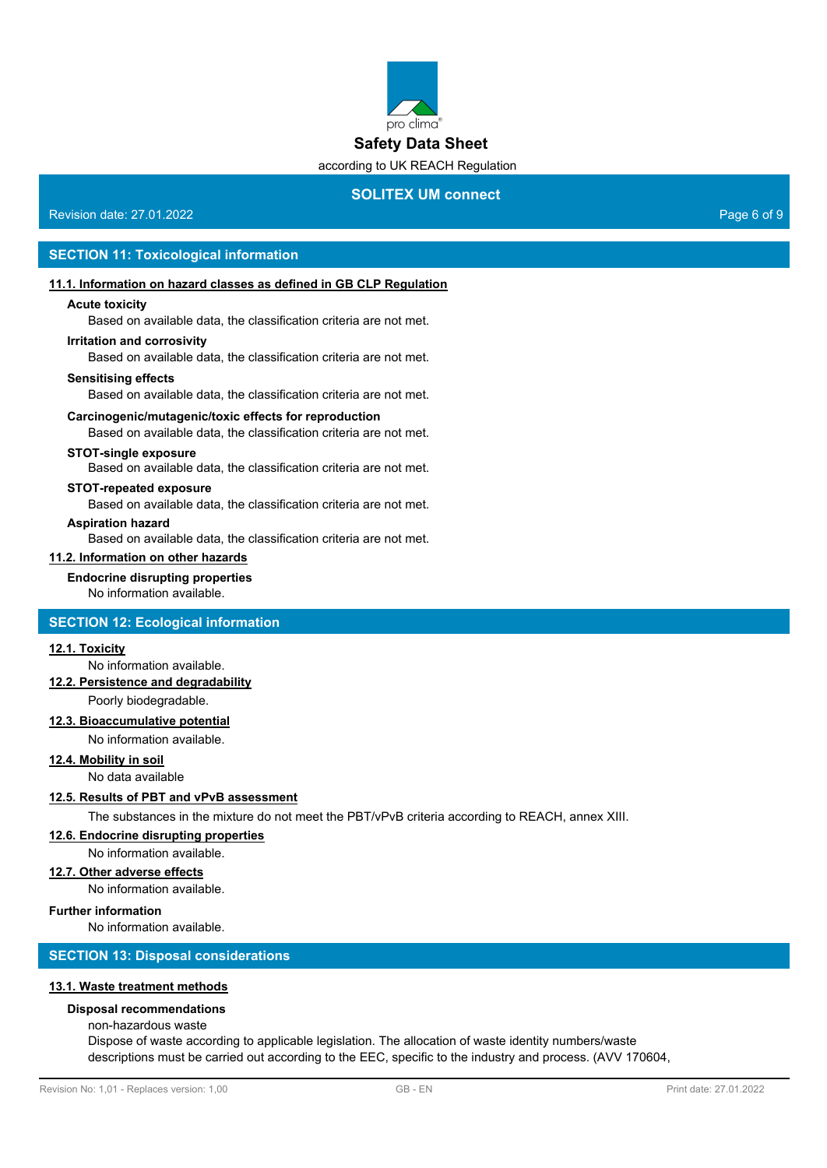

according to UK REACH Regulation

# **SOLITEX UM connect**

## Revision date: 27.01.2022 Page 6 of 9

## **SECTION 11: Toxicological information**

## **11.1. Information on hazard classes as defined in GB CLP Regulation**

#### **Acute toxicity**

Based on available data, the classification criteria are not met.

#### **Irritation and corrosivity**

Based on available data, the classification criteria are not met.

#### **Sensitising effects**

Based on available data, the classification criteria are not met.

#### **Carcinogenic/mutagenic/toxic effects for reproduction**

Based on available data, the classification criteria are not met.

### **STOT-single exposure**

Based on available data, the classification criteria are not met.

## **STOT-repeated exposure**

Based on available data, the classification criteria are not met.

#### **Aspiration hazard**

Based on available data, the classification criteria are not met.

## **11.2. Information on other hazards**

**Endocrine disrupting properties**

No information available.

# **SECTION 12: Ecological information**

#### **12.1. Toxicity**

No information available.

# **12.2. Persistence and degradability**

Poorly biodegradable.

# **12.3. Bioaccumulative potential**

No information available.

## **12.4. Mobility in soil**

No data available

## **12.5. Results of PBT and vPvB assessment**

The substances in the mixture do not meet the PBT/vPvB criteria according to REACH, annex XIII.

### **12.6. Endocrine disrupting properties**

No information available.

#### **12.7. Other adverse effects**

No information available.

#### **Further information**

No information available.

# **SECTION 13: Disposal considerations**

#### **13.1. Waste treatment methods**

#### **Disposal recommendations**

### non-hazardous waste

Dispose of waste according to applicable legislation. The allocation of waste identity numbers/waste descriptions must be carried out according to the EEC, specific to the industry and process. (AVV 170604,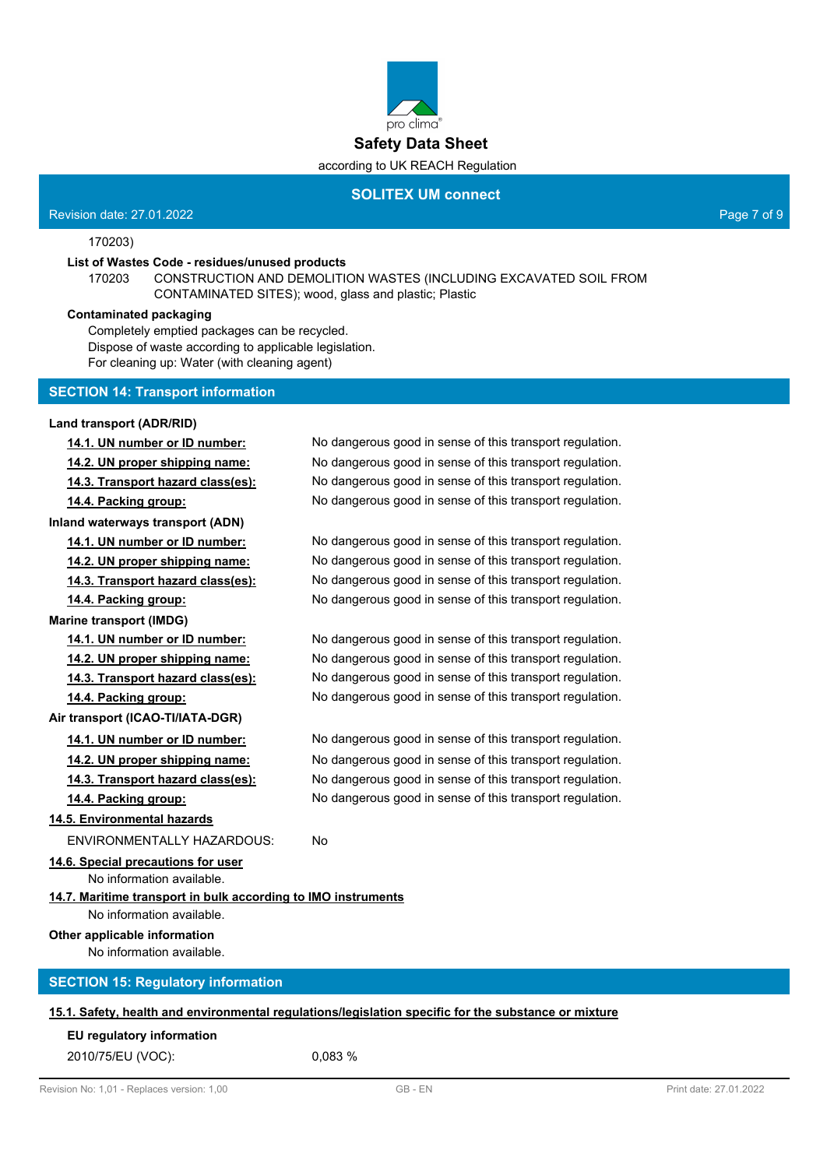

## **SOLITEX UM connect**

## Revision date: 27.01.2022 Page 7 of 9

170203)

## **List of Wastes Code - residues/unused products**

170203 CONSTRUCTION AND DEMOLITION WASTES (INCLUDING EXCAVATED SOIL FROM CONTAMINATED SITES); wood, glass and plastic; Plastic

#### **Contaminated packaging**

Completely emptied packages can be recycled. Dispose of waste according to applicable legislation. For cleaning up: Water (with cleaning agent)

# **SECTION 14: Transport information**

**Land transport (ADR/RID) 14.1. UN number or ID number:** No dangerous good in sense of this transport regulation. **14.2. UN proper shipping name:** No dangerous good in sense of this transport regulation. **14.3. Transport hazard class(es):** No dangerous good in sense of this transport regulation. **14.4. Packing group:** No dangerous good in sense of this transport regulation. **Inland waterways transport (ADN) 14.1. UN number or ID number:** No dangerous good in sense of this transport regulation. **14.2. UN proper shipping name:** No dangerous good in sense of this transport regulation. **14.3. Transport hazard class(es):** No dangerous good in sense of this transport regulation. **14.4. Packing group:** No dangerous good in sense of this transport regulation. **Marine transport (IMDG) 14.1. UN number or ID number:** No dangerous good in sense of this transport regulation. **14.2. UN proper shipping name:** No dangerous good in sense of this transport regulation. **14.3. Transport hazard class(es):** No dangerous good in sense of this transport regulation. **14.4. Packing group:** No dangerous good in sense of this transport regulation. **Air transport (ICAO-TI/IATA-DGR) 14.1. UN number or ID number:** No dangerous good in sense of this transport regulation. **14.2. UN proper shipping name:** No dangerous good in sense of this transport regulation. **14.3. Transport hazard class(es):** No dangerous good in sense of this transport regulation. **14.4. Packing group:** No dangerous good in sense of this transport regulation. **14.5. Environmental hazards** ENVIRONMENTALLY HAZARDOUS: No **14.6. Special precautions for user** No information available. **14.7. Maritime transport in bulk according to IMO instruments** No information available. **Other applicable information** No information available. **SECTION 15: Regulatory information 15.1. Safety, health and environmental regulations/legislation specific for the substance or mixture**

# 2010/75/EU (VOC): 0,083 %

**EU regulatory information**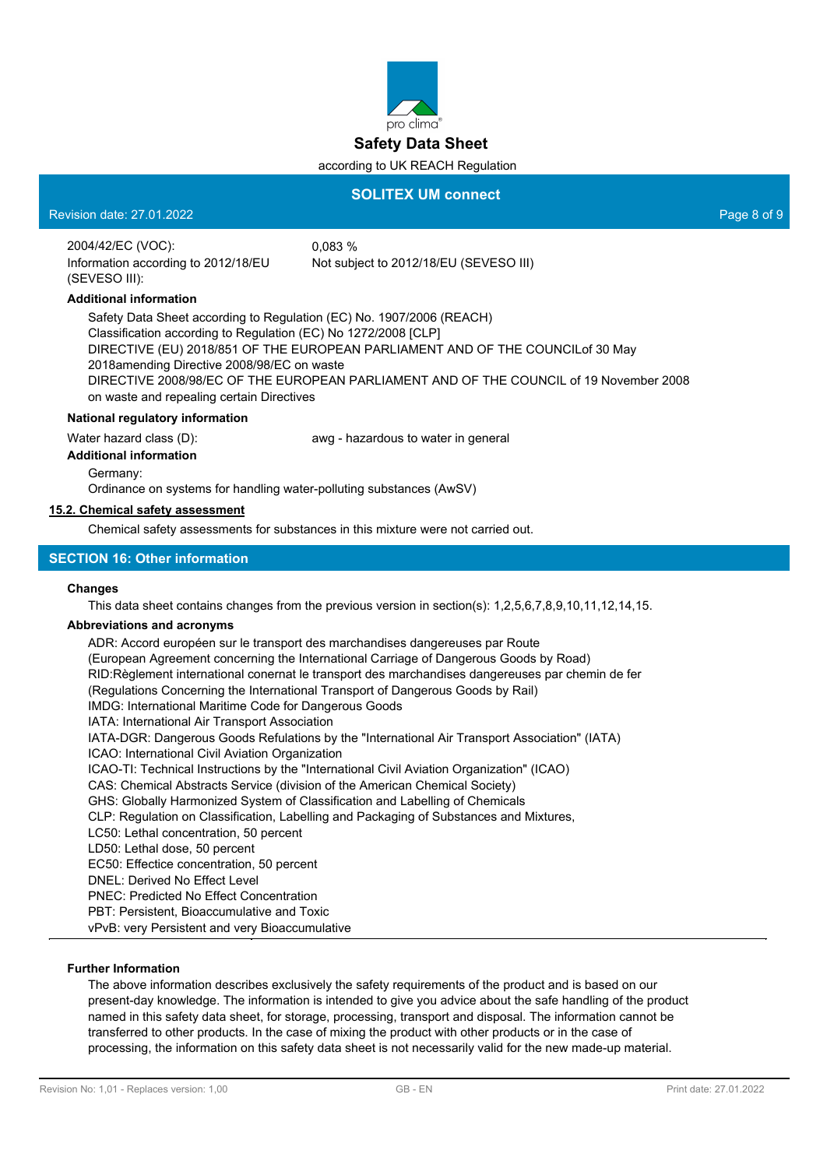

# according to UK REACH Regulation

# **SOLITEX UM connect**

# Revision date: 27.01.2022 Page 8 of 9

(SEVESO III):

2004/42/EC (VOC): 0,083 % Information according to 2012/18/EU

Not subject to 2012/18/EU (SEVESO III)

**Additional information**

Safety Data Sheet according to Regulation (EC) No. 1907/2006 (REACH) Classification according to Regulation (EC) No 1272/2008 [CLP] DIRECTIVE (EU) 2018/851 OF THE EUROPEAN PARLIAMENT AND OF THE COUNCILof 30 May 2018amending Directive 2008/98/EC on waste DIRECTIVE 2008/98/EC OF THE EUROPEAN PARLIAMENT AND OF THE COUNCIL of 19 November 2008 on waste and repealing certain Directives

## **National regulatory information**

Water hazard class (D): awg - hazardous to water in general

**Additional information**

Germany:

Ordinance on systems for handling water-polluting substances (AwSV)

### **15.2. Chemical safety assessment**

Chemical safety assessments for substances in this mixture were not carried out.

## **SECTION 16: Other information**

#### **Changes**

This data sheet contains changes from the previous version in section(s): 1,2,5,6,7,8,9,10,11,12,14,15.

#### **Abbreviations and acronyms**

ADR: Accord européen sur le transport des marchandises dangereuses par Route (European Agreement concerning the International Carriage of Dangerous Goods by Road) RID:Règlement international conernat le transport des marchandises dangereuses par chemin de fer (Regulations Concerning the International Transport of Dangerous Goods by Rail) IMDG: International Maritime Code for Dangerous Goods IATA: International Air Transport Association IATA-DGR: Dangerous Goods Refulations by the "International Air Transport Association" (IATA) ICAO: International Civil Aviation Organization ICAO-TI: Technical Instructions by the "International Civil Aviation Organization" (ICAO) CAS: Chemical Abstracts Service (division of the American Chemical Society) GHS: Globally Harmonized System of Classification and Labelling of Chemicals CLP: Regulation on Classification, Labelling and Packaging of Substances and Mixtures, LC50: Lethal concentration, 50 percent LD50: Lethal dose, 50 percent EC50: Effectice concentration, 50 percent DNEL: Derived No Effect Level PNEC: Predicted No Effect Concentration PBT: Persistent, Bioaccumulative and Toxic vPvB: very Persistent and very Bioaccumulative

## **Further Information**

The above information describes exclusively the safety requirements of the product and is based on our present-day knowledge. The information is intended to give you advice about the safe handling of the product named in this safety data sheet, for storage, processing, transport and disposal. The information cannot be transferred to other products. In the case of mixing the product with other products or in the case of processing, the information on this safety data sheet is not necessarily valid for the new made-up material.